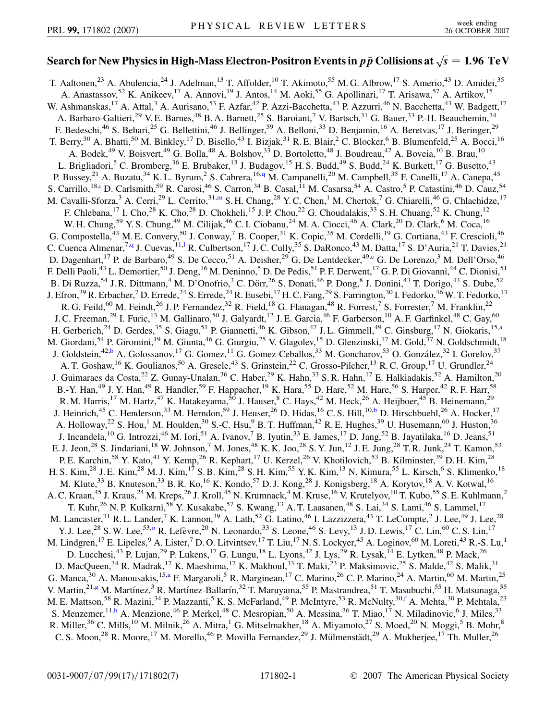## Search for New Physics in High-Mass Electron-Positron Events in  $p\,\bar{p}$  Collisions at  $\sqrt{s} = 1.96\,\, \mathrm{TeV}$

<span id="page-0-9"></span><span id="page-0-8"></span><span id="page-0-7"></span><span id="page-0-6"></span><span id="page-0-5"></span><span id="page-0-4"></span><span id="page-0-3"></span><span id="page-0-2"></span><span id="page-0-1"></span><span id="page-0-0"></span>T. Aaltonen,<sup>23</sup> A. Abulencia,<sup>24</sup> J. Adelman,<sup>13</sup> T. Affolder,<sup>10</sup> T. Akimoto,<sup>55</sup> M. G. Albrow,<sup>17</sup> S. Amerio,<sup>43</sup> D. Amidei,<sup>35</sup> A. Anastassov,<sup>52</sup> K. Anikeev,<sup>17</sup> A. Annovi,<sup>19</sup> J. Antos,<sup>14</sup> M. Aoki,<sup>55</sup> G. Apollinari,<sup>17</sup> T. Arisawa,<sup>57</sup> A. Artikov,<sup>15</sup> W. Ashmanskas,<sup>17</sup> A. Attal,<sup>3</sup> A. Aurisano,<sup>53</sup> F. Azfar,<sup>42</sup> P. Azzi-Bacchetta,<sup>43</sup> P. Azzurri,<sup>46</sup> N. Bacchetta,<sup>43</sup> W. Badgett,<sup>17</sup> A. Barbaro-Galtieri,<sup>29</sup> V. E. Barnes,<sup>48</sup> B. A. Barnett,<sup>25</sup> S. Baroiant,<sup>7</sup> V. Bartsch,<sup>31</sup> G. Bauer,<sup>33</sup> P.-H. Beauchemin,<sup>34</sup> F. Bedeschi,<sup>46</sup> S. Behari,<sup>25</sup> G. Bellettini,<sup>46</sup> J. Bellinger,<sup>59</sup> A. Belloni,<sup>33</sup> D. Benjamin,<sup>16</sup> A. Beretvas,<sup>17</sup> J. Beringer,<sup>29</sup> T. Berry,<sup>30</sup> A. Bhatti,<sup>50</sup> M. Binkley,<sup>17</sup> D. Bisello,<sup>43</sup> I. Bizjak,<sup>31</sup> R. E. Blair,<sup>2</sup> C. Blocker,<sup>6</sup> B. Blumenfeld,<sup>25</sup> A. Bocci,<sup>16</sup> A. Bodek,<sup>49</sup> V. Boisvert,<sup>49</sup> G. Bolla,<sup>48</sup> A. Bolshov,<sup>33</sup> D. Bortoletto,<sup>48</sup> J. Boudreau,<sup>47</sup> A. Boveia,<sup>10</sup> B. Brau,<sup>10</sup> L. Brigliadori,<sup>5</sup> C. Bromberg,<sup>36</sup> E. Brubaker,<sup>13</sup> J. Budagov,<sup>15</sup> H. S. Budd,<sup>49</sup> S. Budd,<sup>24</sup> K. Burkett,<sup>17</sup> G. Busetto,<sup>43</sup> P. Bussey,<sup>21</sup> A. Buzatu,<sup>34</sup> K. L. Byrum,<sup>2</sup> S. Cabrera,<sup>16,[q](#page-6-0)</sup> M. Campanelli,<sup>20</sup> M. Campbell,<sup>35</sup> F. Canelli,<sup>17</sup> A. Canepa,<sup>45</sup> S. Carrillo,<sup>18[,i](#page-6-1)</sup> D. Carlsmith,<sup>59</sup> R. Carosi,<sup>46</sup> S. Carron,<sup>34</sup> B. Casal,<sup>11</sup> M. Casarsa,<sup>54</sup> A. Castro,<sup>5</sup> P. Catastini,<sup>46</sup> D. Cauz,<sup>54</sup> M. Cavalli-Sforza,<sup>3</sup> A. Cerri,<sup>29</sup> L. Cerrito,<sup>31,[m](#page-6-2)</sup> S. H. Chang,<sup>28</sup> Y. C. Chen,<sup>1</sup> M. Chertok,<sup>7</sup> G. Chiarelli,<sup>46</sup> G. Chlachidze,<sup>17</sup> F. Chlebana,<sup>17</sup> I. Cho,<sup>28</sup> K. Cho,<sup>28</sup> D. Chokheli,<sup>15</sup> J. P. Chou,<sup>22</sup> G. Choudalakis,<sup>33</sup> S. H. Chuang,<sup>52</sup> K. Chung,<sup>12</sup> W. H. Chung,<sup>59</sup> Y. S. Chung,<sup>49</sup> M. Cilijak,<sup>46</sup> C. I. Ciobanu,<sup>24</sup> M. A. Ciocci,<sup>46</sup> A. Clark,<sup>20</sup> D. Clark,<sup>6</sup> M. Coca,<sup>16</sup> G. Compostella,<sup>43</sup> M. E. Convery,<sup>50</sup> J. Conway,<sup>7</sup> B. Cooper,<sup>31</sup> K. Copic,<sup>35</sup> M. Cordelli,<sup>19</sup> G. Cortiana,<sup>43</sup> F. Crescioli,<sup>46</sup> C. Cuenca Almenar,<sup>7[,q](#page-6-0)</sup> J. Cuevas,<sup>11,1</sup> R. Cu[l](#page-6-3)bertson,<sup>17</sup> J.C. Cully,<sup>35</sup> S. DaRonco,<sup>43</sup> M. Datta,<sup>17</sup> S. D'Auria,<sup>21</sup> T. Davies,<sup>21</sup> D. Dagenhart,<sup>17</sup> P. de Barbaro,<sup>49</sup> S. De Cecco,<sup>51</sup> A. Deisher,<sup>29</sup> G. De Lentdecker,<sup>49[,c](#page-6-4)</sup> G. De Lorenzo,<sup>3</sup> M. Dell'Orso,<sup>46</sup> F. Delli Paoli,<sup>43</sup> L. Demortier,<sup>50</sup> J. Deng,<sup>16</sup> M. Deninno,<sup>5</sup> D. De Pedis,<sup>51</sup> P. F. Derwent,<sup>17</sup> G. P. Di Giovanni,<sup>44</sup> C. Dionisi,<sup>51</sup> B. Di Ruzza,<sup>54</sup> J. R. Dittmann,<sup>4</sup> M. D'Onofrio,<sup>3</sup> C. Dörr,<sup>26</sup> S. Donati,<sup>46</sup> P. Dong,<sup>8</sup> J. Donini,<sup>43</sup> T. Dorigo,<sup>43</sup> S. Dube,<sup>52</sup> J. Efron,<sup>39</sup> R. Erbacher,<sup>7</sup> D. Errede,<sup>24</sup> S. Errede,<sup>24</sup> R. Eusebi,<sup>17</sup> H. C. Fang,<sup>29</sup> S. Farrington,<sup>30</sup> I. Fedorko,<sup>46</sup> W. T. Fedorko,<sup>13</sup> R. G. Feild,<sup>60</sup> M. Feindt,<sup>26</sup> J. P. Fernandez,<sup>32</sup> R. Field,<sup>18</sup> G. Flanagan,<sup>48</sup> R. Forrest,<sup>7</sup> S. Forrester,<sup>7</sup> M. Franklin,<sup>22</sup> J. C. Freeman,<sup>29</sup> I. Furic,<sup>13</sup> M. Gallinaro,<sup>50</sup> J. Galyardt,<sup>12</sup> J. E. Garcia,<sup>46</sup> F. Garberson,<sup>10</sup> A. F. Garfinkel,<sup>48</sup> C. Gay,<sup>60</sup> H. Gerberich,<sup>24</sup> D. Gerdes,<sup>35</sup> S. Giagu,<sup>51</sup> P. Giannetti,<sup>46</sup> K. Gibson,<sup>47</sup> J.L. Gimmell,<sup>49</sup> C. Ginsburg,<sup>17</sup> N. Giokaris,<sup>15[,a](#page-6-5)</sup> M. Giordani,<sup>54</sup> P. Giromini,<sup>19</sup> M. Giunta,<sup>46</sup> G. Giurgiu,<sup>25</sup> V. Glagolev,<sup>15</sup> D. Glenzinski,<sup>17</sup> M. Gold,<sup>37</sup> N. Goldschmidt,<sup>18</sup> J. Goldstein,<sup>42[,b](#page-6-6)</sup> A. Golossanov,<sup>17</sup> G. Gomez,<sup>11</sup> G. Gomez-Ceballos,<sup>33</sup> M. Goncharov,<sup>53</sup> O. González,<sup>32</sup> I. Gorelov,<sup>37</sup> A. T. Goshaw, <sup>16</sup> K. Goulianos, <sup>50</sup> A. Gresele, <sup>43</sup> S. Grinstein, <sup>22</sup> C. Grosso-Pilcher, <sup>13</sup> R. C. Group, <sup>17</sup> U. Grundler, <sup>24</sup> J. Guimaraes da Costa,<sup>22</sup> Z. Gunay-Unalan,<sup>36</sup> C. Haber,<sup>29</sup> K. Hahn,<sup>33</sup> S. R. Hahn,<sup>17</sup> E. Halkiadakis,<sup>52</sup> A. Hamilton,<sup>20</sup> B.-Y. Han,<sup>49</sup> J. Y. Han,<sup>49</sup> R. Handler,<sup>59</sup> F. Happacher,<sup>19</sup> K. Hara,<sup>55</sup> D. Hare,<sup>52</sup> M. Hare,<sup>56</sup> S. Harper,<sup>42</sup> R. F. Harr,<sup>58</sup> R. M. Harris,<sup>17</sup> M. Hartz,<sup>47</sup> K. Hatakeyama,<sup>50</sup> J. Hauser,<sup>8</sup> C. Hays,<sup>42</sup> M. Heck,<sup>26</sup> A. Heijboer,<sup>45</sup> B. Heinemann,<sup>29</sup> J. Heinrich,<sup>45</sup> C. Henderson,<sup>33</sup> M. Herndon,<sup>59</sup> J. Heuser,<sup>26</sup> D. Hidas,<sup>16</sup> C. S. Hill,<sup>10,[b](#page-6-6)</sup> D. Hirschbuehl,<sup>26</sup> A. Hocker,<sup>17</sup> A. Holloway,<sup>22</sup> S. Hou,<sup>1</sup> M. Houlden,<sup>30</sup> S.-C. Hsu,<sup>9</sup> B. T. Huffman,<sup>42</sup> R. E. Hughes,<sup>39</sup> U. Husemann,<sup>60</sup> J. Huston,<sup>36</sup> J. Incandela,  $^{10}$  G. Introzzi,  $^{46}$  M. Iori,  $^{51}$  A. Ivanov,  $^{7}$  B. Iyutin,  $^{33}$  E. James,  $^{17}$  D. Jang,  $^{52}$  B. Jayatilaka,  $^{16}$  D. Jeans,  $^{51}$ E. J. Jeon,<sup>28</sup> S. Jindariani,<sup>18</sup> W. Johnson,<sup>7</sup> M. Jones,<sup>48</sup> K. K. Joo,<sup>28</sup> S. Y. Jun,<sup>12</sup> J. E. Jung,<sup>28</sup> T. R. Junk,<sup>24</sup> T. Kamon,<sup>53</sup> P. E. Karchin,<sup>58</sup> Y. Kato,<sup>41</sup> Y. Kemp,<sup>26</sup> R. Kephart,<sup>17</sup> U. Kerzel,<sup>26</sup> V. Khotilovich,<sup>53</sup> B. Kilminster,<sup>39</sup> D. H. Kim,<sup>28</sup> H. S. Kim,<sup>28</sup> J. E. Kim,<sup>28</sup> M. J. Kim,<sup>17</sup> S. B. Kim,<sup>28</sup> S. H. Kim,<sup>55</sup> Y. K. Kim,<sup>13</sup> N. Kimura,<sup>55</sup> L. Kirsch,<sup>6</sup> S. Klimenko,<sup>18</sup> M. Klute,<sup>33</sup> B. Knuteson,<sup>33</sup> B. R. Ko,<sup>16</sup> K. Kondo,<sup>57</sup> D. J. Kong,<sup>28</sup> J. Konigsberg,<sup>18</sup> A. Korytov,<sup>18</sup> A. V. Kotwal,<sup>16</sup> A. C. Kraan,<sup>45</sup> J. Kraus,<sup>24</sup> M. Kreps,<sup>26</sup> J. Kroll,<sup>45</sup> N. Krumnack,<sup>4</sup> M. Kruse,<sup>16</sup> V. Krutelyov,<sup>10</sup> T. Kubo,<sup>55</sup> S. E. Kuhlmann,<sup>2</sup> T. Kuhr,<sup>26</sup> N. P. Kulkarni,<sup>58</sup> Y. Kusakabe,<sup>57</sup> S. Kwang,<sup>13</sup> A. T. Laasanen,<sup>48</sup> S. Lai,<sup>34</sup> S. Lami,<sup>46</sup> S. Lammel,<sup>17</sup> M. Lancaster,<sup>31</sup> R. L. Lander,<sup>7</sup> K. Lannon,<sup>39</sup> A. Lath,<sup>52</sup> G. Latino,<sup>46</sup> I. Lazzizzera,<sup>43</sup> T. LeCompte,<sup>2</sup> J. Lee,<sup>49</sup> J. Lee,<sup>28</sup> Y. J. Lee,<sup>28</sup> S. W. Lee,<sup>53,[o](#page-6-7)</sup> R. Lefèvre,<sup>20</sup> N. Leonardo,<sup>33</sup> S. Leone,<sup>46</sup> S. Levy,<sup>13</sup> J. D. Lewis,<sup>17</sup> C. Lin,<sup>60</sup> C. S. Lin,<sup>17</sup> M. Lindgren, <sup>17</sup> E. Lipeles, <sup>9</sup> A. Lister, <sup>7</sup> D. O. Litvintsev, <sup>17</sup> T. Liu, <sup>17</sup> N. S. Lockyer, <sup>45</sup> A. Loginov, <sup>60</sup> M. Loreti, <sup>43</sup> R.-S. Lu, <sup>1</sup> D. Lucchesi,<sup>43</sup> P. Lujan,<sup>29</sup> P. Lukens,<sup>17</sup> G. Lungu,<sup>18</sup> L. Lyons,<sup>42</sup> J. Lys,<sup>29</sup> R. Lysak,<sup>14</sup> E. Lytken,<sup>48</sup> P. Mack,<sup>26</sup> D. MacQueen,<sup>34</sup> R. Madrak,<sup>17</sup> K. Maeshima,<sup>17</sup> K. Makhoul,<sup>33</sup> T. Maki,<sup>23</sup> P. Maksimovic,<sup>25</sup> S. Malde,<sup>42</sup> S. Malik,<sup>31</sup> G. Manca,<sup>30</sup> A. Manousakis,<sup>15[,a](#page-6-5)</sup> F. Margaroli,<sup>5</sup> R. Marginean,<sup>17</sup> C. Marino,<sup>26</sup> C.P. Marino,<sup>24</sup> A. Martin,<sup>60</sup> M. Martin,<sup>25</sup> V. Martin,<sup>21[,g](#page-6-8)</sup> M. Martínez,<sup>3</sup> R. Martínez-Ballarín,<sup>32</sup> T. Maruyama,<sup>55</sup> P. Mastrandrea,<sup>51</sup> T. Masubuchi,<sup>55</sup> H. Matsunaga,<sup>55</sup> M. E. Mattson,<sup>58</sup> R. Mazini,<sup>34</sup> P. Mazzanti,<sup>5</sup> K. S. McFarland,<sup>49</sup> P. McIntyre,<sup>53</sup> R. McNulty,<sup>30[,f](#page-6-9)</sup> A. Mehta,<sup>30</sup> P. Mehtala,<sup>23</sup> S. Menzemer, <sup>11[,h](#page-6-10)</sup> A. Menzione, <sup>46</sup> P. Merkel, <sup>48</sup> C. Mesropian, <sup>50</sup> A. Messina, <sup>36</sup> T. Miao, <sup>17</sup> N. Miladinovic, <sup>6</sup> J. Miles, <sup>33</sup> R. Miller,<sup>36</sup> C. Mills,<sup>10</sup> M. Milnik,<sup>26</sup> A. Mitra,<sup>1</sup> G. Mitselmakher,<sup>18</sup> A. Miyamoto,<sup>27</sup> S. Moed,<sup>20</sup> N. Moggi,<sup>5</sup> B. Mohr,<sup>8</sup> C. S. Moon,<sup>28</sup> R. Moore,<sup>17</sup> M. Morello,<sup>46</sup> P. Movilla Fernandez,<sup>29</sup> J. Mülmenstädt,<sup>29</sup> A. Mukherjee,<sup>17</sup> Th. Muller,<sup>26</sup>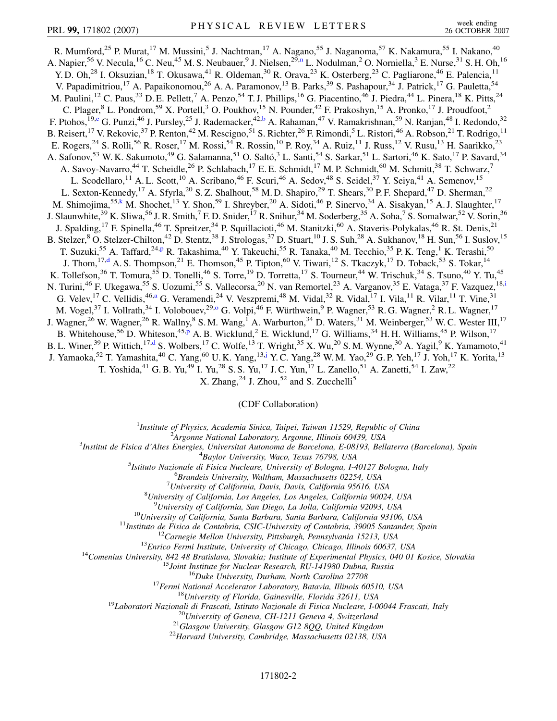<span id="page-1-4"></span><span id="page-1-3"></span><span id="page-1-1"></span>R. Mumford,<sup>25</sup> P. Murat,<sup>17</sup> M. Mussini,<sup>5</sup> J. Nachtman,<sup>17</sup> A. Nagano,<sup>55</sup> J. Naganoma,<sup>57</sup> K. Nakamura,<sup>55</sup> I. Nakano,<sup>40</sup> A. Napier,<sup>56</sup> V. Necula,<sup>16</sup> C. Neu,<sup>45</sup> M. S. Neubauer,<sup>9</sup> J. Nielse[n](#page-6-11),<sup>29,n</sup> L. Nodulman,<sup>2</sup> O. Norniella,<sup>3</sup> E. Nurse,<sup>31</sup> S. H. Oh,<sup>16</sup> Y. D. Oh,<sup>28</sup> I. Oksuzian,<sup>18</sup> T. Okusawa,<sup>41</sup> R. Oldeman,<sup>30</sup> R. Orava,<sup>23</sup> K. Osterberg,<sup>23</sup> C. Pagliarone,<sup>46</sup> E. Palencia,<sup>11</sup> V. Papadimitriou,<sup>17</sup> A. Papaikonomou,<sup>26</sup> A. A. Paramonov,<sup>13</sup> B. Parks,<sup>39</sup> S. Pashapour,<sup>34</sup> J. Patrick,<sup>17</sup> G. Pauletta,<sup>54</sup> M. Paulini,  $^{12}$  C. Paus,  $^{33}$  D. E. Pellett,  $^7$  A. Penzo,  $^{54}$  T. J. Phillips,  $^{16}$  G. Piacentino,  $^{46}$  J. Piedra,  $^{44}$  L. Pinera,  $^{18}$  K. Pitts,  $^{24}$ C. Plager,<sup>8</sup> L. Pondrom,<sup>59</sup> X. Portell,<sup>3</sup> O. Poukhov,<sup>15</sup> N. Pounder,<sup>42</sup> F. Prakoshyn,<sup>15</sup> A. Pronko,<sup>17</sup> J. Proudfoot,<sup>2</sup> F. Ptohos, <sup>19,[e](#page-6-12)</sup> G. Punzi, <sup>46</sup> J. Pursley, <sup>25</sup> J. Rademacker, <sup>42[,b](#page-6-6)</sup> A. Rahaman, <sup>47</sup> V. Ramakrishnan, <sup>59</sup> N. Ranjan, <sup>48</sup> I. Redondo, <sup>32</sup> B. Reisert, <sup>17</sup> V. Rekovic, <sup>37</sup> P. Renton, <sup>42</sup> M. Rescigno, <sup>51</sup> S. Richter, <sup>26</sup> F. Rimondi, <sup>5</sup> L. Ristori, <sup>46</sup> A. Robson, <sup>21</sup> T. Rodrigo, <sup>11</sup> E. Rogers,<sup>24</sup> S. Rolli,<sup>56</sup> R. Roser,<sup>17</sup> M. Rossi,<sup>54</sup> R. Rossin,<sup>10</sup> P. Roy,<sup>34</sup> A. Ruiz,<sup>11</sup> J. Russ,<sup>12</sup> V. Rusu,<sup>13</sup> H. Saarikko,<sup>23</sup> A. Safonov,<sup>53</sup> W. K. Sakumoto,<sup>49</sup> G. Salamanna,<sup>51</sup> O. Saltó,<sup>3</sup> L. Santi,<sup>54</sup> S. Sarkar,<sup>51</sup> L. Sartori,<sup>46</sup> K. Sato,<sup>17</sup> P. Savard,<sup>34</sup> A. Savoy-Navarro,<sup>44</sup> T. Scheidle,<sup>26</sup> P. Schlabach,<sup>17</sup> E. E. Schmidt,<sup>17</sup> M. P. Schmidt,<sup>60</sup> M. Schmitt,<sup>38</sup> T. Schwarz,<sup>7</sup> L. Scodellaro,<sup>11</sup> A. L. Scott,<sup>10</sup> A. Scribano,<sup>46</sup> F. Scuri,<sup>46</sup> A. Sedov,<sup>48</sup> S. Seidel,<sup>37</sup> Y. Seiya,<sup>41</sup> A. Semenov,<sup>15</sup> L. Sexton-Kennedy,<sup>17</sup> A. Sfyrla,<sup>20</sup> S. Z. Shalhout,<sup>58</sup> M. D. Shapiro,<sup>29</sup> T. Shears,<sup>30</sup> P. F. Shepard,<sup>47</sup> D. Sherman,<sup>22</sup> M. Shimojima,<sup>55[,k](#page-6-13)</sup> M. Shochet,<sup>13</sup> Y. Shon,<sup>59</sup> I. Shreyber,<sup>20</sup> A. Sidoti,<sup>46</sup> P. Sinervo,<sup>34</sup> A. Sisakyan,<sup>15</sup> A. J. Slaughter,<sup>17</sup> J. Slaunwhite,<sup>39</sup> K. Sliwa,<sup>56</sup> J. R. Smith,<sup>7</sup> F. D. Snider,<sup>17</sup> R. Snihur,<sup>34</sup> M. Soderberg,<sup>35</sup> A. Soha,<sup>7</sup> S. Somalwar,<sup>52</sup> V. Sorin,<sup>36</sup> J. Spalding,<sup>17</sup> F. Spinella,<sup>46</sup> T. Spreitzer,<sup>34</sup> P. Squillacioti,<sup>46</sup> M. Stanitzki,<sup>60</sup> A. Staveris-Polykalas,<sup>46</sup> R. St. Denis,<sup>21</sup> B. Stelzer,<sup>8</sup> O. Stelzer-Chilton,<sup>42</sup> D. Stentz,<sup>38</sup> J. Strologas,<sup>37</sup> D. Stuart,<sup>10</sup> J. S. Suh,<sup>28</sup> A. Sukhanov,<sup>18</sup> H. Sun,<sup>56</sup> I. Suslov,<sup>15</sup> T. Suzuki,<su[p](#page-6-14)>55</sup> A. Taffard,<sup>24,p</sup> R. Takashima,<sup>40</sup> Y. Takeuchi,<sup>55</sup> R. Tanaka,<sup>40</sup> M. Tecchio,<sup>35</sup> P. K. Teng,<sup>1</sup> K. Terashi,<sup>50</sup> J. Thom,<sup>17,[d](#page-6-15)</sup> A. S. Thompson,<sup>21</sup> E. Thomson,<sup>45</sup> P. Tipton,<sup>60</sup> V. Tiwari,<sup>12</sup> S. Tkaczyk,<sup>17</sup> D. Toback,<sup>53</sup> S. Tokar,<sup>14</sup> K. Tollefson,<sup>36</sup> T. Tomura,<sup>55</sup> D. Tonelli,<sup>46</sup> S. Torre,<sup>19</sup> D. Torretta,<sup>17</sup> S. Tourneur,<sup>44</sup> W. Trischuk,<sup>34</sup> S. Tsuno,<sup>40</sup> Y. Tu,<sup>45</sup> N. Tur[i](#page-6-1)ni,<sup>46</sup> F. Ukegawa,<sup>55</sup> S. Uozumi,<sup>55</sup> S. Vallecorsa,<sup>20</sup> N. van Remortel,<sup>23</sup> A. Varganov,<sup>35</sup> E. Vataga,<sup>37</sup> F. Vazquez,<sup>18,i</sup> G. Velev, <sup>17</sup> C. Vellidis, <sup>46,[a](#page-6-5)</sup> G. Veramendi, <sup>24</sup> V. Veszpremi, <sup>48</sup> M. Vidal, <sup>32</sup> R. Vidal, <sup>17</sup> I. Vila, <sup>11</sup> R. Vilar, <sup>11</sup> T. Vine, <sup>31</sup> M. Vogel,<sup>37</sup> I. Vollrath,<sup>34</sup> I. Volobouev,<sup>29,0</sup> G. Volpi,<sup>46</sup> F. Würthwein,<sup>9</sup> P. Wagner,<sup>53</sup> R. G. Wagner,<sup>2</sup> R. L. Wagner,<sup>17</sup> J. Wagner,<sup>26</sup> W. Wagner,<sup>26</sup> R. Wallny,<sup>8</sup> S. M. Wang,<sup>1</sup> A. Warburton,<sup>34</sup> D. Waters,<sup>31</sup> M. Weinberger,<sup>53</sup> W. C. Wester III,<sup>17</sup> B. Whitehouse,<sup>56</sup> D. Whiteson,<sup>45[,p](#page-6-14)</sup> A. B. Wicklund,<sup>2</sup> E. Wicklund,<sup>17</sup> G. Williams,<sup>34</sup> H. H. Williams,<sup>45</sup> P. Wilson,<sup>17</sup> B. L. Winer,<sup>39</sup> P. Wittich,<sup>17[,d](#page-6-15)</sup> S. Wolbers,<sup>17</sup> C. Wolfe,<sup>13</sup> T. Wright,<sup>35</sup> X. Wu,<sup>20</sup> S. M. Wynne,<sup>30</sup> A. Yagil,<sup>9</sup> K. Yamamoto,<sup>41</sup> J. Yamaoka,<sup>52</sup> T. Yamashita,<sup>40</sup> C. Yang,<sup>60</sup> U.K. Yang,<sup>13,[j](#page-6-16)</sup> Y.C. Yang,<sup>28</sup> W.M. Yao,<sup>29</sup> G.P. Yeh,<sup>17</sup> J. Yoh,<sup>17</sup> K. Yorita,<sup>13</sup> T. Yoshida, <sup>41</sup> G. B. Yu, <sup>49</sup> I. Yu, <sup>28</sup> S. S. Yu, <sup>17</sup> J. C. Yun, <sup>17</sup> L. Zanello, <sup>51</sup> A. Zanetti, <sup>54</sup> I. Zaw, <sup>22</sup>

X. Zhang, $^{24}$  J. Zhou, $^{52}$  and S. Zucchelli<sup>5</sup>

(CDF Collaboration)

<sup>1</sup>*Institute of Physics, Academia Sinica, Taipei, Taiwan 11529, Republic of China*<br><sup>2</sup><sup>4</sup> *League Mational Laboratory, Argonna Illinois 60430, USA* 

<span id="page-1-5"></span><span id="page-1-2"></span><span id="page-1-0"></span>*Argonne National Laboratory, Argonne, Illinois 60439, USA*<br><sup>3</sup> *Argonne National Laboratory, Argonne, Illinois 60439, USA*<sup>3</sup>

*Institut de Fisica d'Altes Energies, Universitat Autonoma de Barcelona, E-08193, Bellaterra (Barcelona), Spain* <sup>4</sup>

*Baylor University, Waco, Texas 76798, USA* <sup>5</sup>

*Istituto Nazionale di Fisica Nucleare, University of Bologna, I-40127 Bologna, Italy* <sup>6</sup>

*Brandeis University, Waltham, Massachusetts 02254, USA* <sup>7</sup>

*University of California, Davis, Davis, California 95616, USA* <sup>8</sup>

*University of California, Los Angeles, Los Angeles, California 90024, USA* <sup>9</sup>

<sup>9</sup>University of California, San Diego, La Jolla, California 92093, USA<br>
<sup>10</sup>University of California, Santa Barbara, Santa Barbara, California 93106, USA<br>
<sup>11</sup>Instituto de Eisica de Cantabria, CSIC-University of Cantabri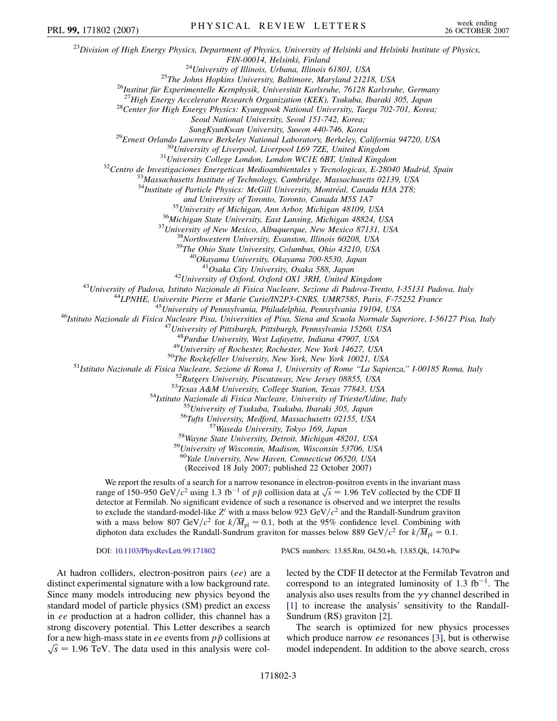<sup>23</sup>*Division of High Energy Physics, Department of Physics, University of Helsinki and Helsinki Institute of Physics,* FIN-00014, Helsinki, Finland<br><sup>24</sup>University of Illinois, Urbana, Illinois 61801, USA<br><sup>25</sup>The Johns Hopkins University, Baltimore, Maryland 21218, USA<br><sup>26</sup>Institut für Experimentelle Kernphysik, Universität Karlsruhe, 7612 *Seoul National University, Seoul 151-742, Korea;* <sup>29</sup>Ernest Orlando Lawrence Berkeley National Laboratory, Berkeley, California 94720, USA<br><sup>30</sup>University of Liverpool, Liverpool L69 7ZE, United Kingdom<br><sup>31</sup>University College London, London WCIE 6BT, United Kingdom<br><sup>32</sup>C <sup>34</sup>Institute of Particle Physics: McGill University, Montréal, Canada H3A 2T8; and University of Toronto, Toronto, Canada M5S 1A7<br><sup>35</sup> University of Michigan, Ann Arbor, Michigan 48109, USA<br><sup>36</sup> Michigan State University, East Lansing, Michigan 48824, USA<br><sup>37</sup> University of New Mexico, Albuquerque, N <sup>42</sup>University of Oxford, Oxford OX1 3RH, United Kingdom<br><sup>43</sup>University of Padova, Istituto Nazionale di Fisica Nucleare, Sezione di Padova-Trento, I-35131 Padova, Italy<br><sup>44</sup>LPNHE, Universite Pierre et Marie Curie/IN2P3-C <sup>48</sup>Purdue University, West Lafayette, Indiana 47907, USA<br><sup>49</sup>University of Rochester, Rochester, New York 14627, USA<br><sup>49</sup>University of Rochester, Rochester, New York 14627, USA<br><sup>51</sup>Istituto Nazionale di Fisica Nucleare, <sup>60</sup>*Yale University, New Haven, Connecticut 06520, USA* (Received 18 July 2007; published 22 October 2007) We report the results of a search for a narrow resonance in electron-positron events in the invariant mass we report the results of a search for a harrow resonance in electron-position events in the invariant mass<br>range of 150–950 GeV/ $c^2$  using 1.3 fb<sup>-1</sup> of  $p\bar{p}$  collision data at  $\sqrt{s} = 1.96$  TeV collected by the CDF II detector at Fermilab. No significant evidence of such a resonance is observed and we interpret the results to exclude the standard-model-like  $Z<sup>t</sup>$  with a mass below 923 GeV/ $c<sup>2</sup>$  and the Randall-Sundrum graviton with a mass below 807 GeV/ $c^2$  for  $k/\overline{M}_{\text{pl}} = 0.1$ , both at the 95% confidence level. Combining with diphoton data excludes the Randall-Sundrum graviton for masses below 889 GeV/ $c^2$  for  $k/\overline{M}_{\text{pl}} = 0.1$ . PRL 99, 171802 (2007) PHYSICAL REVIEW LETTERS week ending<br>26 OCTOBER 2007

DOI: [10.1103/PhysRevLett.99.171802](http://dx.doi.org/10.1103/PhysRevLett.99.171802) PACS numbers: 13.85.Rm, 04.50.+h, 13.85.Qk, 14.70.Pw

At hadron colliders, electron-positron pairs (*ee*) are a distinct experimental signature with a low background rate. Since many models introducing new physics beyond the standard model of particle physics (SM) predict an excess in *ee* production at a hadron collider, this channel has a strong discovery potential. This Letter describes a search for a new high-mass state in *ee* events from  $p\bar{p}$  collisions at  $\sqrt{s}$  = 1.96 TeV. The data used in this analysis were collected by the CDF II detector at the Fermilab Tevatron and correspond to an integrated luminosity of  $1.3 \text{ fb}^{-1}$ . The analysis also uses results from the  $\gamma\gamma$  channel described in [\[1\]](#page-6-17) to increase the analysis' sensitivity to the Randall-Sundrum (RS) graviton [\[2\]](#page-6-18).

The search is optimized for new physics processes which produce narrow *ee* resonances [[3\]](#page-6-19), but is otherwise model independent. In addition to the above search, cross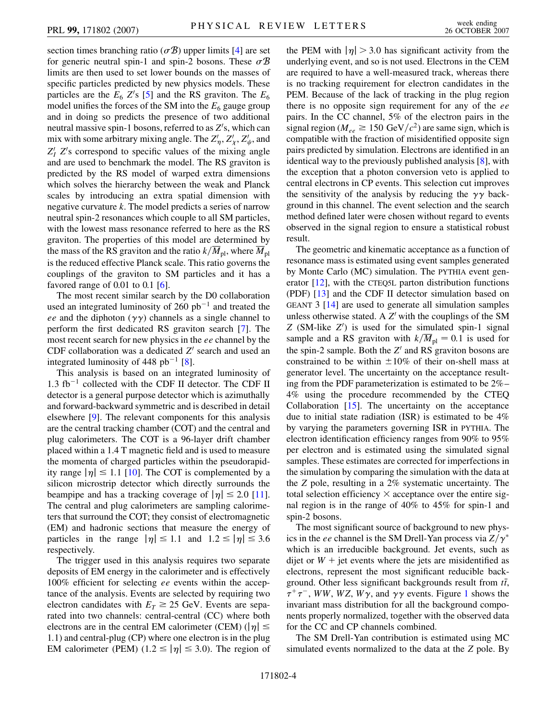section times branching ratio  $(\sigma \mathcal{B})$  upper limits [\[4\]](#page-6-20) are set for generic neutral spin-1 and spin-2 bosons. These  $\sigma$ *B* limits are then used to set lower bounds on the masses of specific particles predicted by new physics models. These particles are the  $E_6$  Z's [[5](#page-6-21)] and the RS graviton. The  $E_6$ model unifies the forces of the SM into the  $E_6$  gauge group and in doing so predicts the presence of two additional neutral massive spin-1 bosons, referred to as Z's, which can mix with some arbitrary mixing angle. The  $Z'_\eta$ ,  $Z'_\chi$ ,  $Z'_\psi$ , and  $Z_l$   $Z_s$  correspond to specific values of the mixing angle and are used to benchmark the model. The RS graviton is predicted by the RS model of warped extra dimensions which solves the hierarchy between the weak and Planck scales by introducing an extra spatial dimension with negative curvature *k*. The model predicts a series of narrow neutral spin-2 resonances which couple to all SM particles, with the lowest mass resonance referred to here as the RS graviton. The properties of this model are determined by the mass of the RS graviton and the ratio  $k/\overline{M}_{pl}$ , where  $\overline{M}_{pl}$ is the reduced effective Planck scale. This ratio governs the couplings of the graviton to SM particles and it has a favored range of  $0.01$  to  $0.1$  [[6](#page-6-22)].

The most recent similar search by the D0 collaboration used an integrated luminosity of  $260$   $pb^{-1}$  and treated the *ee* and the diphoton  $(\gamma \gamma)$  channels as a single channel to perform the first dedicated RS graviton search [[7](#page-6-23)]. The most recent search for new physics in the *ee* channel by the CDF collaboration was a dedicated *Z'* search and used an integrated luminosity of  $448$  $448$  pb<sup>-1</sup> [8].

This analysis is based on an integrated luminosity of  $1.3 \text{ fb}^{-1}$  collected with the CDF II detector. The CDF II detector is a general purpose detector which is azimuthally and forward-backward symmetric and is described in detail elsewhere [[9](#page-6-25)]. The relevant components for this analysis are the central tracking chamber (COT) and the central and plug calorimeters. The COT is a 96-layer drift chamber placed within a 1.4 T magnetic field and is used to measure the momenta of charged particles within the pseudorapidity range  $|\eta| \le 1.1$  [\[10\]](#page-6-26). The COT is complemented by a silicon microstrip detector which directly surrounds the beampipe and has a tracking coverage of  $|\eta| \le 2.0$  [\[11\]](#page-6-27). The central and plug calorimeters are sampling calorimeters that surround the COT; they consist of electromagnetic (EM) and hadronic sections that measure the energy of particles in the range  $|\eta| \le 1.1$  and  $1.2 \le |\eta| \le 3.6$ respectively.

The trigger used in this analysis requires two separate deposits of EM energy in the calorimeter and is effectively 100% efficient for selecting *ee* events within the acceptance of the analysis. Events are selected by requiring two electron candidates with  $E_T \ge 25$  GeV. Events are separated into two channels: central-central (CC) where both electrons are in the central EM calorimeter (CEM) ( $|\eta| \le$ 1*:*1) and central-plug (CP) where one electron is in the plug EM calorimeter (PEM)  $(1.2 \le |\eta| \le 3.0)$ . The region of the PEM with  $|\eta| > 3.0$  has significant activity from the underlying event, and so is not used. Electrons in the CEM are required to have a well-measured track, whereas there is no tracking requirement for electron candidates in the PEM. Because of the lack of tracking in the plug region there is no opposite sign requirement for any of the *ee* pairs. In the CC channel, 5% of the electron pairs in the signal region ( $M_{ee} \ge 150 \text{ GeV}/c^2$ ) are same sign, which is compatible with the fraction of misidentified opposite sign pairs predicted by simulation. Electrons are identified in an identical way to the previously published analysis [[8](#page-6-24)], with the exception that a photon conversion veto is applied to central electrons in CP events. This selection cut improves the sensitivity of the analysis by reducing the  $\gamma\gamma$  background in this channel. The event selection and the search method defined later were chosen without regard to events observed in the signal region to ensure a statistical robust result.

The geometric and kinematic acceptance as a function of resonance mass is estimated using event samples generated by Monte Carlo (MC) simulation. The PYTHIA event generator [\[12\]](#page-6-28), with the CTEQ5L parton distribution functions (PDF) [\[13\]](#page-6-29) and the CDF II detector simulation based on GEANT 3 [[14](#page-6-30)] are used to generate all simulation samples unless otherwise stated. A  $Z'$  with the couplings of the SM *Z* (SM-like *Z'*) is used for the simulated spin-1 signal sample and a RS graviton with  $k/M_{\rm pl} = 0.1$  is used for the spin-2 sample. Both the  $Z<sup>1</sup>$  and RS graviton bosons are constrained to be within  $\pm 10\%$  of their on-shell mass at generator level. The uncertainty on the acceptance resulting from the PDF parameterization is estimated to be 2%– 4% using the procedure recommended by the CTEQ Collaboration [[15](#page-6-31)]. The uncertainty on the acceptance due to initial state radiation (ISR) is estimated to be 4% by varying the parameters governing ISR in PYTHIA. The electron identification efficiency ranges from 90% to 95% per electron and is estimated using the simulated signal samples. These estimates are corrected for imperfections in the simulation by comparing the simulation with the data at the *Z* pole, resulting in a 2% systematic uncertainty. The total selection efficiency  $\times$  acceptance over the entire signal region is in the range of 40% to 45% for spin-1 and spin-2 bosons.

The most significant source of background to new physics in the *ee* channel is the SM Drell-Yan process via  $Z/\gamma^*$ which is an irreducible background. Jet events, such as dijet or  $W$  + jet events where the jets are misidentified as electrons, represent the most significant reducible background. Other less significant backgrounds result from *tt* ,  $\tau^+ \tau^-$ , *WW*, *WZ*, *W* $\gamma$ , and  $\gamma \gamma$  events. Figure [1](#page-4-0) shows the invariant mass distribution for all the background components properly normalized, together with the observed data for the CC and CP channels combined.

The SM Drell-Yan contribution is estimated using MC simulated events normalized to the data at the *Z* pole. By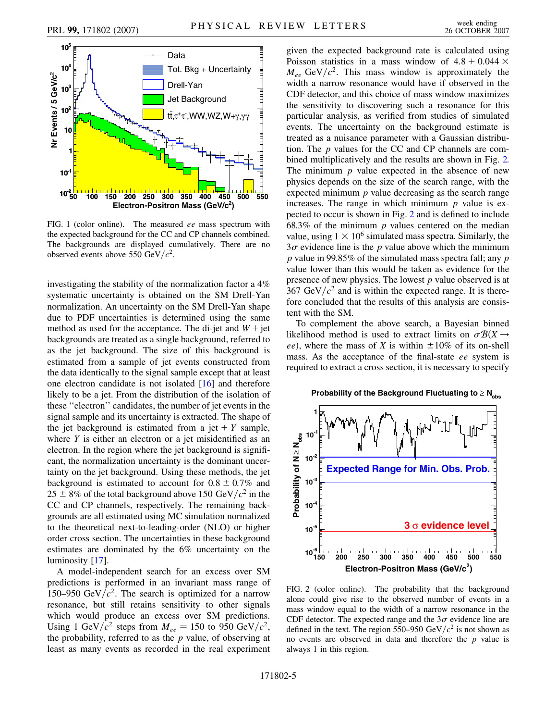<span id="page-4-0"></span>

FIG. 1 (color online). The measured *ee* mass spectrum with the expected background for the CC and CP channels combined. The backgrounds are displayed cumulatively. There are no observed events above 550 GeV/ $c^2$ .

investigating the stability of the normalization factor a 4% systematic uncertainty is obtained on the SM Drell-Yan normalization. An uncertainty on the SM Drell-Yan shape due to PDF uncertainties is determined using the same method as used for the acceptance. The di-jet and  $W +$ jet backgrounds are treated as a single background, referred to as the jet background. The size of this background is estimated from a sample of jet events constructed from the data identically to the signal sample except that at least one electron candidate is not isolated [[16](#page-6-32)] and therefore likely to be a jet. From the distribution of the isolation of these ''electron'' candidates, the number of jet events in the signal sample and its uncertainty is extracted. The shape of the jet background is estimated from a jet  $+$  *Y* sample, where *Y* is either an electron or a jet misidentified as an electron. In the region where the jet background is significant, the normalization uncertainty is the dominant uncertainty on the jet background. Using these methods, the jet background is estimated to account for  $0.8 \pm 0.7\%$  and  $25 \pm 8\%$  of the total background above 150 GeV/ $c^2$  in the CC and CP channels, respectively. The remaining backgrounds are all estimated using MC simulation normalized to the theoretical next-to-leading-order (NLO) or higher order cross section. The uncertainties in these background estimates are dominated by the 6% uncertainty on the luminosity [\[17\]](#page-6-33).

A model-independent search for an excess over SM predictions is performed in an invariant mass range of 150–950 GeV $/c^2$ . The search is optimized for a narrow resonance, but still retains sensitivity to other signals which would produce an excess over SM predictions. Using 1 GeV/ $c^2$  steps from  $M_{ee} = 150$  to 950 GeV/ $c^2$ , the probability, referred to as the *p* value, of observing at least as many events as recorded in the real experiment given the expected background rate is calculated using Poisson statistics in a mass window of  $4.8 + 0.044 \times$  $M_{ee}$  GeV/ $c^2$ . This mass window is approximately the width a narrow resonance would have if observed in the CDF detector, and this choice of mass window maximizes the sensitivity to discovering such a resonance for this particular analysis, as verified from studies of simulated events. The uncertainty on the background estimate is treated as a nuisance parameter with a Gaussian distribution. The *p* values for the CC and CP channels are combined multiplicatively and the results are shown in Fig. [2.](#page-4-1) The minimum *p* value expected in the absence of new physics depends on the size of the search range, with the expected minimum *p* value decreasing as the search range increases. The range in which minimum *p* value is expected to occur is shown in Fig. [2](#page-4-1) and is defined to include 68.3% of the minimum *p* values centered on the median value, using  $1 \times 10^6$  simulated mass spectra. Similarly, the  $3\sigma$  evidence line is the *p* value above which the minimum *p* value in 99.85% of the simulated mass spectra fall; any *p* value lower than this would be taken as evidence for the presence of new physics. The lowest *p* value observed is at  $367 \text{ GeV}/c^2$  and is within the expected range. It is therefore concluded that the results of this analysis are consistent with the SM.

To complement the above search, a Bayesian binned likelihood method is used to extract limits on  $\sigma \mathcal{B}(X \rightarrow$ *ee*), where the mass of *X* is within  $\pm 10\%$  of its on-shell mass. As the acceptance of the final-state *ee* system is required to extract a cross section, it is necessary to specify

<span id="page-4-1"></span>

FIG. 2 (color online). The probability that the background alone could give rise to the observed number of events in a mass window equal to the width of a narrow resonance in the CDF detector. The expected range and the  $3\sigma$  evidence line are defined in the text. The region 550–950 GeV/ $c^2$  is not shown as no events are observed in data and therefore the *p* value is always 1 in this region.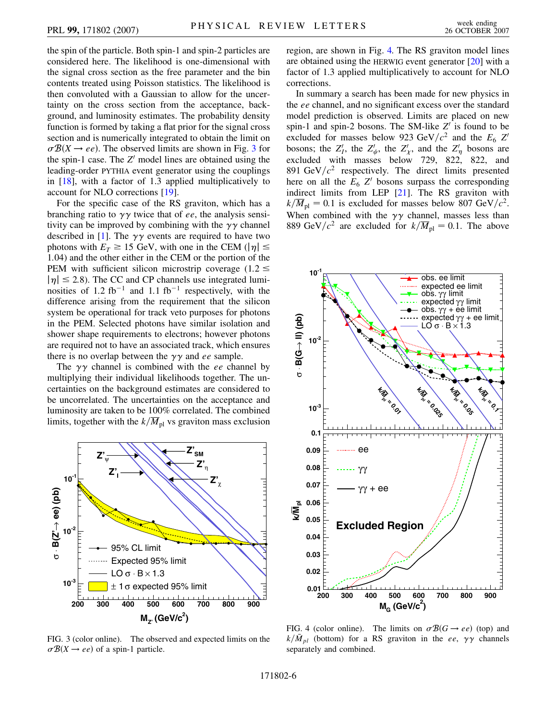the spin of the particle. Both spin-1 and spin-2 particles are considered here. The likelihood is one-dimensional with the signal cross section as the free parameter and the bin contents treated using Poisson statistics. The likelihood is then convoluted with a Gaussian to allow for the uncertainty on the cross section from the acceptance, background, and luminosity estimates. The probability density function is formed by taking a flat prior for the signal cross section and is numerically integrated to obtain the limit on  $\sigma \mathcal{B}(X \rightarrow ee)$ . The observed limits are shown in Fig. [3](#page-5-0) for the spin-1 case. The  $Z<sup>1</sup>$  model lines are obtained using the leading-order PYTHIA event generator using the couplings in [\[18\]](#page-6-34), with a factor of 1.3 applied multiplicatively to account for NLO corrections [\[19\]](#page-6-35).

For the specific case of the RS graviton, which has a branching ratio to  $\gamma\gamma$  twice that of *ee*, the analysis sensitivity can be improved by combining with the  $\gamma\gamma$  channel described in [[1\]](#page-6-17). The  $\gamma\gamma$  events are required to have two photons with  $E_T \ge 15$  GeV, with one in the CEM ( $|\eta| \le$ 1*:*04) and the other either in the CEM or the portion of the PEM with sufficient silicon microstrip coverage  $(1.2 \le$  $|\eta| \le 2.8$ ). The CC and CP channels use integrated luminosities of  $1.2 \text{ fb}^{-1}$  and  $1.1 \text{ fb}^{-1}$  respectively, with the difference arising from the requirement that the silicon system be operational for track veto purposes for photons in the PEM. Selected photons have similar isolation and shower shape requirements to electrons; however photons are required not to have an associated track, which ensures there is no overlap between the  $\gamma\gamma$  and *ee* sample.

The  $\gamma\gamma$  channel is combined with the *ee* channel by multiplying their individual likelihoods together. The uncertainties on the background estimates are considered to be uncorrelated. The uncertainties on the acceptance and luminosity are taken to be 100% correlated. The combined limits, together with the  $k/\overline{M}_{pl}$  vs graviton mass exclusion

<span id="page-5-0"></span>

FIG. 3 (color online). The observed and expected limits on the  $\sigma \mathcal{B}(X \rightarrow ee)$  of a spin-1 particle.

region, are shown in Fig. [4.](#page-5-1) The RS graviton model lines are obtained using the HERWIG event generator [\[20\]](#page-6-36) with a factor of 1.3 applied multiplicatively to account for NLO corrections.

In summary a search has been made for new physics in the *ee* channel, and no significant excess over the standard model prediction is observed. Limits are placed on new spin-1 and spin-2 bosons. The SM-like  $Z<sup>1</sup>$  is found to be excluded for masses below 923 GeV/ $c^2$  and the  $E_6$  *Z*<sup>0</sup> bosons; the  $Z'_I$ , the  $Z'_\psi$ , the  $Z'_\chi$ , and the  $Z'_\eta$  bosons are excluded with masses below 729, 822, 822, and 891 GeV $/c^2$  respectively. The direct limits presented here on all the  $E_6$   $Z<sup>1</sup>$  bosons surpass the corresponding indirect limits from LEP [\[21\]](#page-6-37). The RS graviton with  $k/M_{\text{pl}} = 0.1$  is excluded for masses below 807 GeV/ $c^2$ . When combined with the  $\gamma\gamma$  channel, masses less than 889 GeV/ $c^2$  are excluded for  $k/\overline{M}_{\text{pl}} = 0.1$ . The above

<span id="page-5-1"></span>

FIG. 4 (color online). The limits on  $\sigma \mathcal{B}(G \rightarrow ee)$  (top) and  $k/\bar{M}_{pl}$  (bottom) for a RS graviton in the *ee*,  $\gamma\gamma$  channels separately and combined.